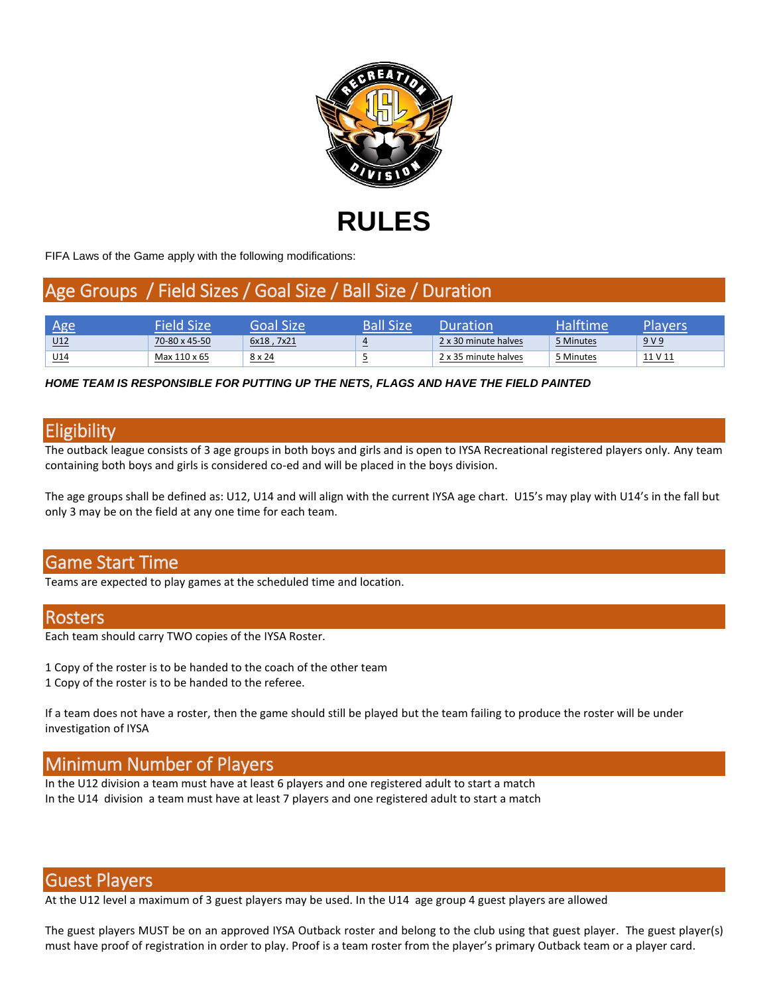

FIFA Laws of the Game apply with the following modifications:

# Age Groups / Field Sizes / Goal Size / Ball Size / Duration

| Λσς             | Field Size    | Goal Size'    | Ball Size | )uration             | <b>Halftime</b> | Plavers |
|-----------------|---------------|---------------|-----------|----------------------|-----------------|---------|
| U12             | 70-80 x 45-50 | 6x18, 7x21    | $\sim$    | 2 x 30 minute halves | 5 Minutes       | 9V9     |
| U <sub>14</sub> | Max 110 x 65  | $8 \times 24$ | -         | 2 x 35 minute halves | 5 Minutes       | 11 V 11 |

#### *HOME TEAM IS RESPONSIBLE FOR PUTTING UP THE NETS, FLAGS AND HAVE THE FIELD PAINTED*

### **Eligibility**

The outback league consists of 3 age groups in both boys and girls and is open to IYSA Recreational registered players only. Any team containing both boys and girls is considered co-ed and will be placed in the boys division.

The age groups shall be defined as: U12, U14 and will align with the current IYSA age chart. U15's may play with U14's in the fall but only 3 may be on the field at any one time for each team.

### Game Start Time

Teams are expected to play games at the scheduled time and location.

#### **Rosters**

Each team should carry TWO copies of the IYSA Roster.

- 1 Copy of the roster is to be handed to the coach of the other team
- 1 Copy of the roster is to be handed to the referee.

If a team does not have a roster, then the game should still be played but the team failing to produce the roster will be under investigation of IYSA

# Minimum Number of Players

In the U12 division a team must have at least 6 players and one registered adult to start a match In the U14 division a team must have at least 7 players and one registered adult to start a match

#### Guest Players

At the U12 level a maximum of 3 guest players may be used. In the U14 age group 4 guest players are allowed

The guest players MUST be on an approved IYSA Outback roster and belong to the club using that guest player. The guest player(s) must have proof of registration in order to play. Proof is a team roster from the player's primary Outback team or a player card.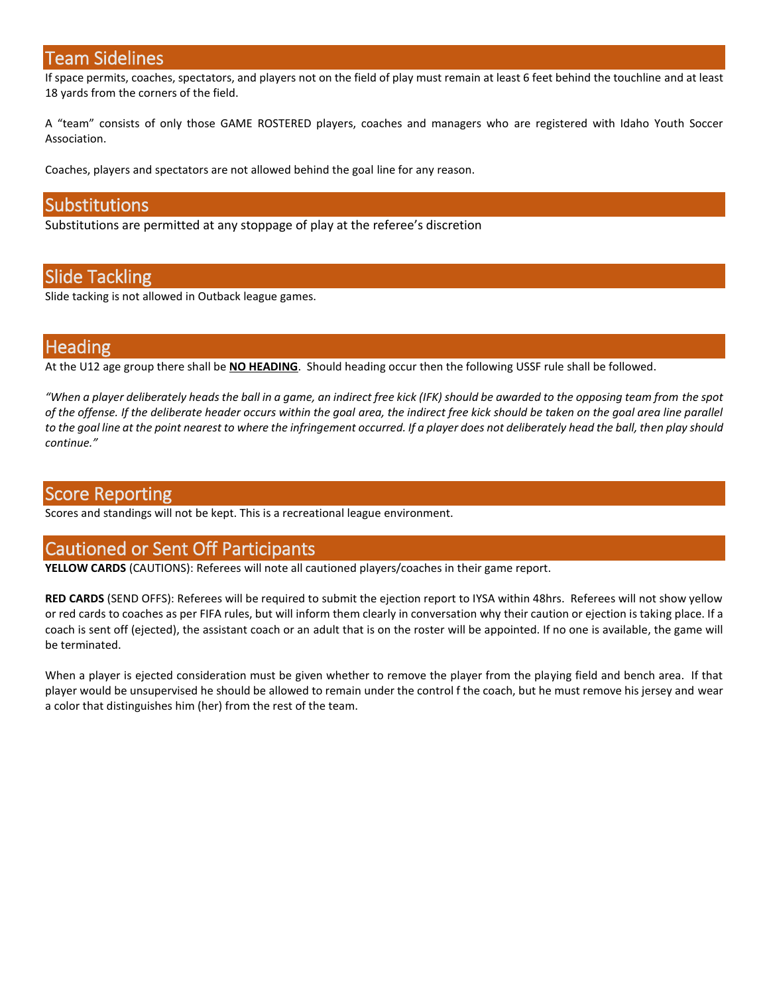#### Team Sidelines

If space permits, coaches, spectators, and players not on the field of play must remain at least 6 feet behind the touchline and at least 18 yards from the corners of the field.

A "team" consists of only those GAME ROSTERED players, coaches and managers who are registered with Idaho Youth Soccer Association.

Coaches, players and spectators are not allowed behind the goal line for any reason.

#### Substitutions

Substitutions are permitted at any stoppage of play at the referee's discretion

### Slide Tackling

Slide tacking is not allowed in Outback league games.

### **Heading**

At the U12 age group there shall be **NO HEADING**. Should heading occur then the following USSF rule shall be followed.

*"When a player deliberately heads the ball in a game, an indirect free kick (IFK) should be awarded to the opposing team from the spot of the offense. If the deliberate header occurs within the goal area, the indirect free kick should be taken on the goal area line parallel to the goal line at the point nearest to where the infringement occurred. If a player does not deliberately head the ball, then play should continue."*

#### Score Reporting

Scores and standings will not be kept. This is a recreational league environment.

### Cautioned or Sent Off Participants

**YELLOW CARDS** (CAUTIONS): Referees will note all cautioned players/coaches in their game report.

RED CARDS (SEND OFFS): Referees will be required to submit the ejection report to IYSA within 48hrs. Referees will not show yellow or red cards to coaches as per FIFA rules, but will inform them clearly in conversation why their caution or ejection is taking place. If a coach is sent off (ejected), the assistant coach or an adult that is on the roster will be appointed. If no one is available, the game will be terminated.

When a player is ejected consideration must be given whether to remove the player from the playing field and bench area. If that player would be unsupervised he should be allowed to remain under the control f the coach, but he must remove his jersey and wear a color that distinguishes him (her) from the rest of the team.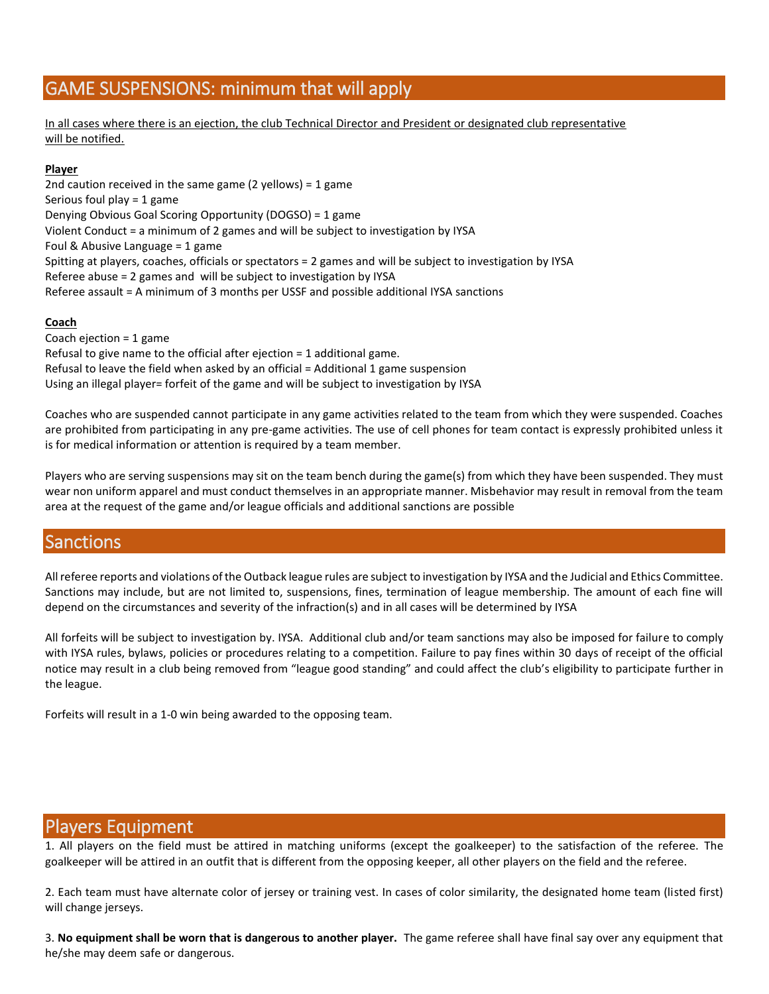# GAME SUSPENSIONS: minimum that will apply

In all cases where there is an ejection, the club Technical Director and President or designated club representative will be notified.

#### **Player**

2nd caution received in the same game (2 yellows) = 1 game Serious foul play = 1 game Denying Obvious Goal Scoring Opportunity (DOGSO) = 1 game Violent Conduct = a minimum of 2 games and will be subject to investigation by IYSA Foul & Abusive Language = 1 game Spitting at players, coaches, officials or spectators = 2 games and will be subject to investigation by IYSA Referee abuse = 2 games and will be subject to investigation by IYSA Referee assault = A minimum of 3 months per USSF and possible additional IYSA sanctions

#### **Coach**

Coach ejection = 1 game Refusal to give name to the official after ejection = 1 additional game. Refusal to leave the field when asked by an official = Additional 1 game suspension Using an illegal player= forfeit of the game and will be subject to investigation by IYSA

Coaches who are suspended cannot participate in any game activities related to the team from which they were suspended. Coaches are prohibited from participating in any pre-game activities. The use of cell phones for team contact is expressly prohibited unless it is for medical information or attention is required by a team member.

Players who are serving suspensions may sit on the team bench during the game(s) from which they have been suspended. They must wear non uniform apparel and must conduct themselves in an appropriate manner. Misbehavior may result in removal from the team area at the request of the game and/or league officials and additional sanctions are possible

# Sanctions

All referee reports and violations of the Outback league rules are subject to investigation by IYSA and the Judicial and Ethics Committee. Sanctions may include, but are not limited to, suspensions, fines, termination of league membership. The amount of each fine will depend on the circumstances and severity of the infraction(s) and in all cases will be determined by IYSA

All forfeits will be subject to investigation by. IYSA. Additional club and/or team sanctions may also be imposed for failure to comply with IYSA rules, bylaws, policies or procedures relating to a competition. Failure to pay fines within 30 days of receipt of the official notice may result in a club being removed from "league good standing" and could affect the club's eligibility to participate further in the league.

Forfeits will result in a 1-0 win being awarded to the opposing team.

### Players Equipment

1. All players on the field must be attired in matching uniforms (except the goalkeeper) to the satisfaction of the referee. The goalkeeper will be attired in an outfit that is different from the opposing keeper, all other players on the field and the referee.

2. Each team must have alternate color of jersey or training vest. In cases of color similarity, the designated home team (listed first) will change jerseys.

3. **No equipment shall be worn that is dangerous to another player.** The game referee shall have final say over any equipment that he/she may deem safe or dangerous.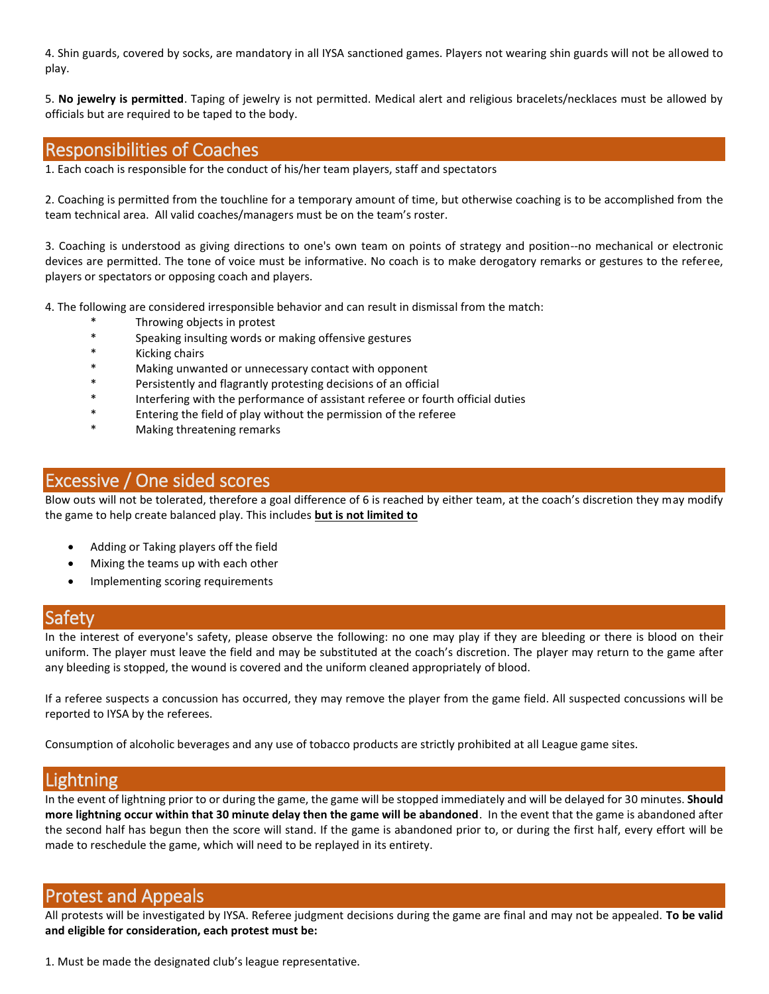4. Shin guards, covered by socks, are mandatory in all IYSA sanctioned games. Players not wearing shin guards will not be allowed to play.

5. **No jewelry is permitted**. Taping of jewelry is not permitted. Medical alert and religious bracelets/necklaces must be allowed by officials but are required to be taped to the body.

### Responsibilities of Coaches

1. Each coach is responsible for the conduct of his/her team players, staff and spectators

2. Coaching is permitted from the touchline for a temporary amount of time, but otherwise coaching is to be accomplished from the team technical area. All valid coaches/managers must be on the team's roster.

3. Coaching is understood as giving directions to one's own team on points of strategy and position--no mechanical or electronic devices are permitted. The tone of voice must be informative. No coach is to make derogatory remarks or gestures to the referee, players or spectators or opposing coach and players.

4. The following are considered irresponsible behavior and can result in dismissal from the match:

- Throwing objects in protest
- \* Speaking insulting words or making offensive gestures
- \* Kicking chairs
- \* Making unwanted or unnecessary contact with opponent
- Persistently and flagrantly protesting decisions of an official
- \* Interfering with the performance of assistant referee or fourth official duties
- \* Entering the field of play without the permission of the referee
- Making threatening remarks

## Excessive / One sided scores

Blow outs will not be tolerated, therefore a goal difference of 6 is reached by either team, at the coach's discretion they may modify the game to help create balanced play. This includes **but is not limited to**

- Adding or Taking players off the field
- Mixing the teams up with each other
- Implementing scoring requirements

#### Safety

In the interest of everyone's safety, please observe the following: no one may play if they are bleeding or there is blood on their uniform. The player must leave the field and may be substituted at the coach's discretion. The player may return to the game after any bleeding is stopped, the wound is covered and the uniform cleaned appropriately of blood.

If a referee suspects a concussion has occurred, they may remove the player from the game field. All suspected concussions will be reported to IYSA by the referees.

Consumption of alcoholic beverages and any use of tobacco products are strictly prohibited at all League game sites.

# **Lightning**

In the event of lightning prior to or during the game, the game will be stopped immediately and will be delayed for 30 minutes. **Should more lightning occur within that 30 minute delay then the game will be abandoned**. In the event that the game is abandoned after the second half has begun then the score will stand. If the game is abandoned prior to, or during the first half, every effort will be made to reschedule the game, which will need to be replayed in its entirety.

### Protest and Appeals

All protests will be investigated by IYSA. Referee judgment decisions during the game are final and may not be appealed. **To be valid and eligible for consideration, each protest must be:**

1. Must be made the designated club's league representative.